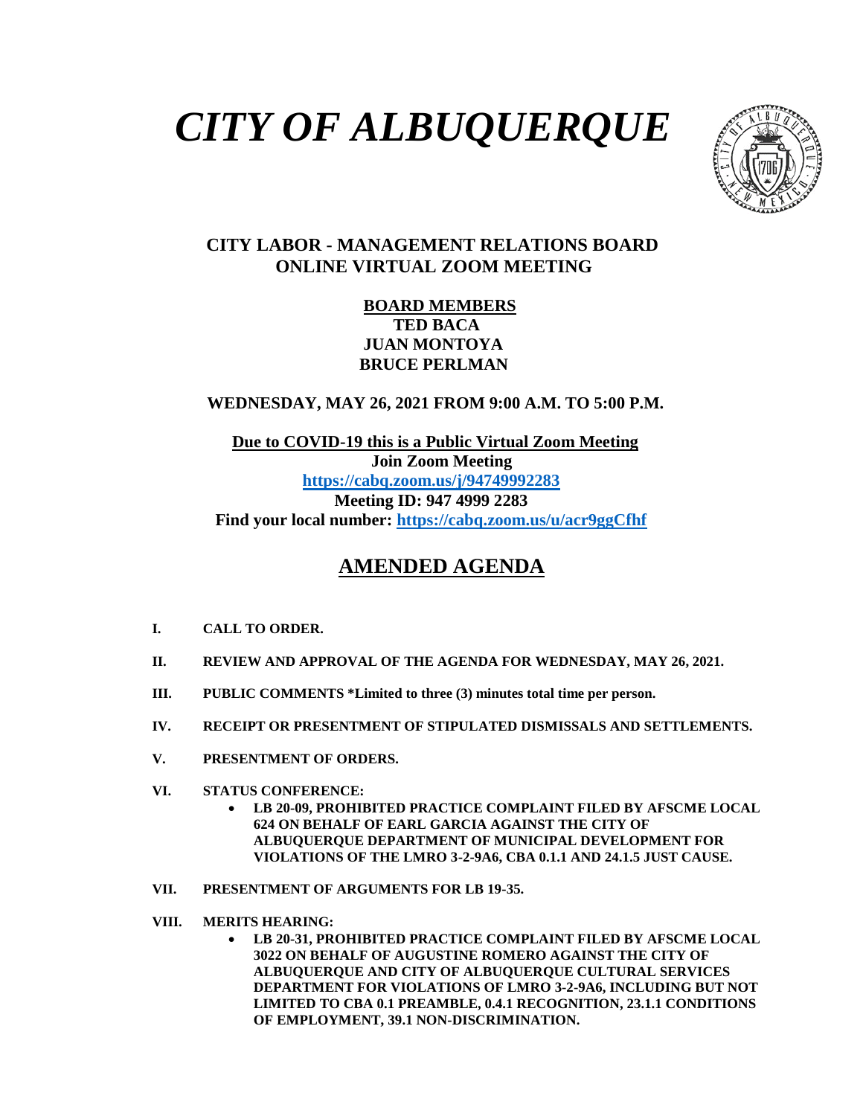# *CITY OF ALBUQUERQUE*



### **CITY LABOR - MANAGEMENT RELATIONS BOARD ONLINE VIRTUAL ZOOM MEETING**

#### **BOARD MEMBERS TED BACA JUAN MONTOYA BRUCE PERLMAN**

 **WEDNESDAY, MAY 26, 2021 FROM 9:00 A.M. TO 5:00 P.M.**

 **Due to COVID-19 this is a Public Virtual Zoom Meeting Join Zoom Meeting <https://cabq.zoom.us/j/94749992283> Meeting ID: 947 4999 2283 Find your local number:<https://cabq.zoom.us/u/acr9ggCfhf>**

## **AMENDED AGENDA**

- **I. CALL TO ORDER.**
- **II. REVIEW AND APPROVAL OF THE AGENDA FOR WEDNESDAY, MAY 26, 2021.**
- **III. PUBLIC COMMENTS \*Limited to three (3) minutes total time per person.**
- **IV. RECEIPT OR PRESENTMENT OF STIPULATED DISMISSALS AND SETTLEMENTS.**
- **V. PRESENTMENT OF ORDERS.**
- **VI. STATUS CONFERENCE:**
	- **LB 20-09, PROHIBITED PRACTICE COMPLAINT FILED BY AFSCME LOCAL 624 ON BEHALF OF EARL GARCIA AGAINST THE CITY OF ALBUQUERQUE DEPARTMENT OF MUNICIPAL DEVELOPMENT FOR VIOLATIONS OF THE LMRO 3-2-9A6, CBA 0.1.1 AND 24.1.5 JUST CAUSE.**
- **VII. PRESENTMENT OF ARGUMENTS FOR LB 19-35.**
- **VIII. MERITS HEARING:**
	- **LB 20-31, PROHIBITED PRACTICE COMPLAINT FILED BY AFSCME LOCAL 3022 ON BEHALF OF AUGUSTINE ROMERO AGAINST THE CITY OF ALBUQUERQUE AND CITY OF ALBUQUERQUE CULTURAL SERVICES DEPARTMENT FOR VIOLATIONS OF LMRO 3-2-9A6, INCLUDING BUT NOT LIMITED TO CBA 0.1 PREAMBLE, 0.4.1 RECOGNITION, 23.1.1 CONDITIONS OF EMPLOYMENT, 39.1 NON-DISCRIMINATION.**